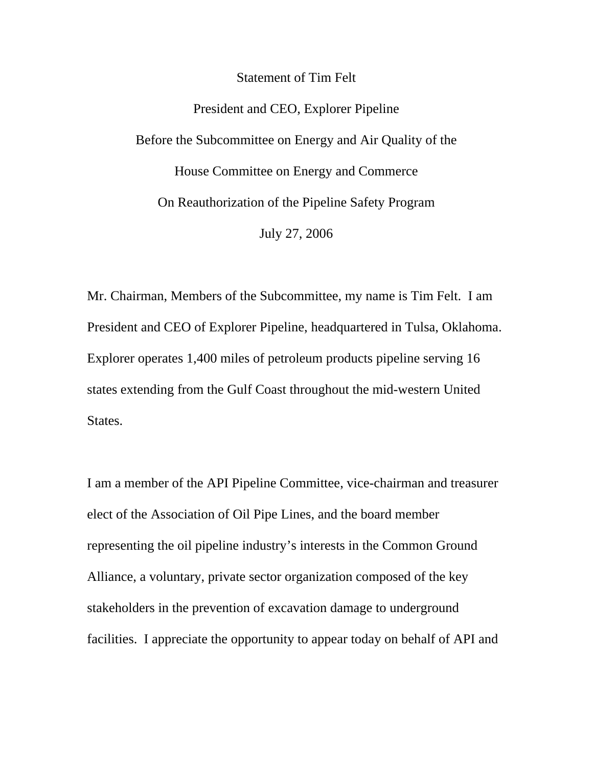Statement of Tim Felt

President and CEO, Explorer Pipeline Before the Subcommittee on Energy and Air Quality of the House Committee on Energy and Commerce On Reauthorization of the Pipeline Safety Program July 27, 2006

Mr. Chairman, Members of the Subcommittee, my name is Tim Felt. I am President and CEO of Explorer Pipeline, headquartered in Tulsa, Oklahoma. Explorer operates 1,400 miles of petroleum products pipeline serving 16 states extending from the Gulf Coast throughout the mid-western United States.

I am a member of the API Pipeline Committee, vice-chairman and treasurer elect of the Association of Oil Pipe Lines, and the board member representing the oil pipeline industry's interests in the Common Ground Alliance, a voluntary, private sector organization composed of the key stakeholders in the prevention of excavation damage to underground facilities. I appreciate the opportunity to appear today on behalf of API and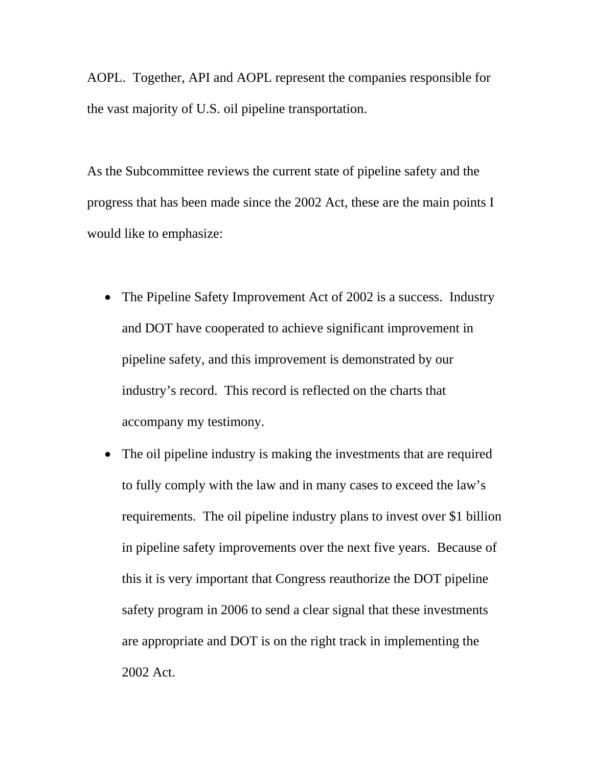AOPL. Together, API and AOPL represent the companies responsible for the vast majority of U.S. oil pipeline transportation.

As the Subcommittee reviews the current state of pipeline safety and the progress that has been made since the 2002 Act, these are the main points I would like to emphasize:

- The Pipeline Safety Improvement Act of 2002 is a success. Industry and DOT have cooperated to achieve significant improvement in pipeline safety, and this improvement is demonstrated by our industry's record. This record is reflected on the charts that accompany my testimony.
- The oil pipeline industry is making the investments that are required to fully comply with the law and in many cases to exceed the law's requirements. The oil pipeline industry plans to invest over \$1 billion in pipeline safety improvements over the next five years. Because of this it is very important that Congress reauthorize the DOT pipeline safety program in 2006 to send a clear signal that these investments are appropriate and DOT is on the right track in implementing the 2002 Act.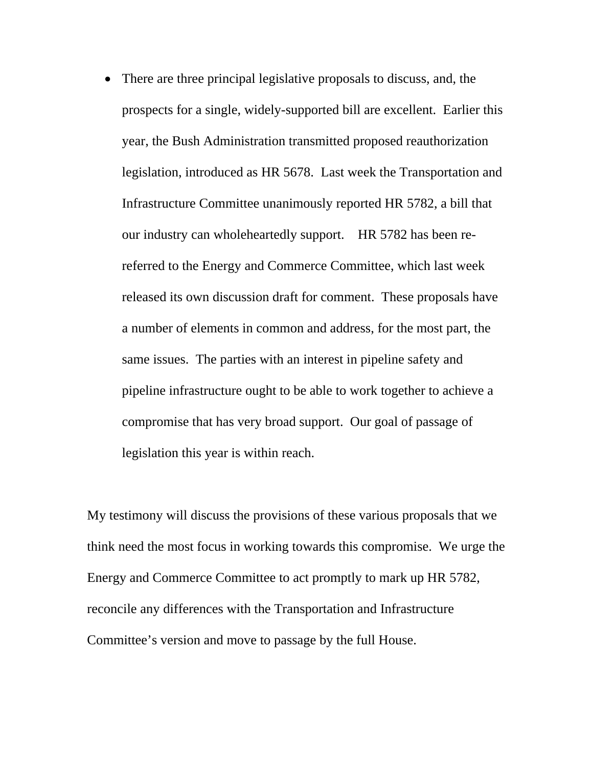• There are three principal legislative proposals to discuss, and, the prospects for a single, widely-supported bill are excellent. Earlier this year, the Bush Administration transmitted proposed reauthorization legislation, introduced as HR 5678. Last week the Transportation and Infrastructure Committee unanimously reported HR 5782, a bill that our industry can wholeheartedly support. HR 5782 has been rereferred to the Energy and Commerce Committee, which last week released its own discussion draft for comment. These proposals have a number of elements in common and address, for the most part, the same issues. The parties with an interest in pipeline safety and pipeline infrastructure ought to be able to work together to achieve a compromise that has very broad support. Our goal of passage of legislation this year is within reach.

My testimony will discuss the provisions of these various proposals that we think need the most focus in working towards this compromise. We urge the Energy and Commerce Committee to act promptly to mark up HR 5782, reconcile any differences with the Transportation and Infrastructure Committee's version and move to passage by the full House.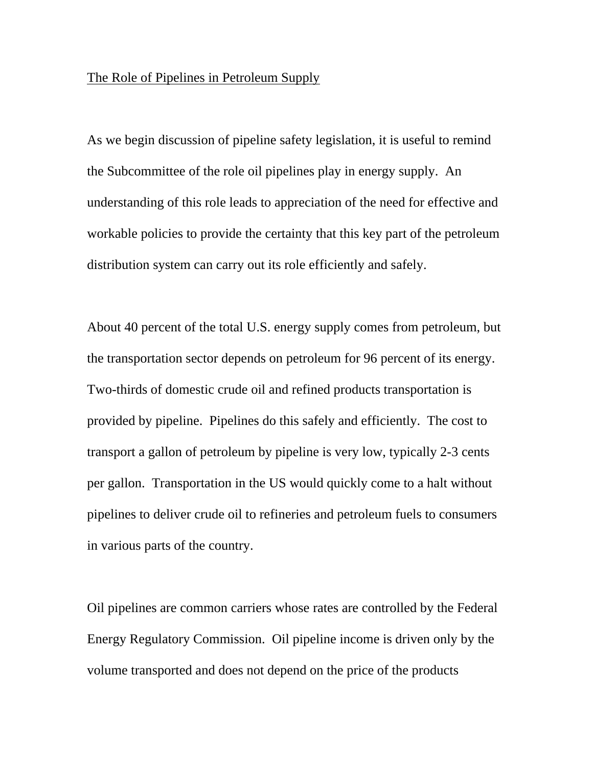#### The Role of Pipelines in Petroleum Supply

As we begin discussion of pipeline safety legislation, it is useful to remind the Subcommittee of the role oil pipelines play in energy supply. An understanding of this role leads to appreciation of the need for effective and workable policies to provide the certainty that this key part of the petroleum distribution system can carry out its role efficiently and safely.

About 40 percent of the total U.S. energy supply comes from petroleum, but the transportation sector depends on petroleum for 96 percent of its energy. Two-thirds of domestic crude oil and refined products transportation is provided by pipeline. Pipelines do this safely and efficiently. The cost to transport a gallon of petroleum by pipeline is very low, typically 2-3 cents per gallon. Transportation in the US would quickly come to a halt without pipelines to deliver crude oil to refineries and petroleum fuels to consumers in various parts of the country.

Oil pipelines are common carriers whose rates are controlled by the Federal Energy Regulatory Commission. Oil pipeline income is driven only by the volume transported and does not depend on the price of the products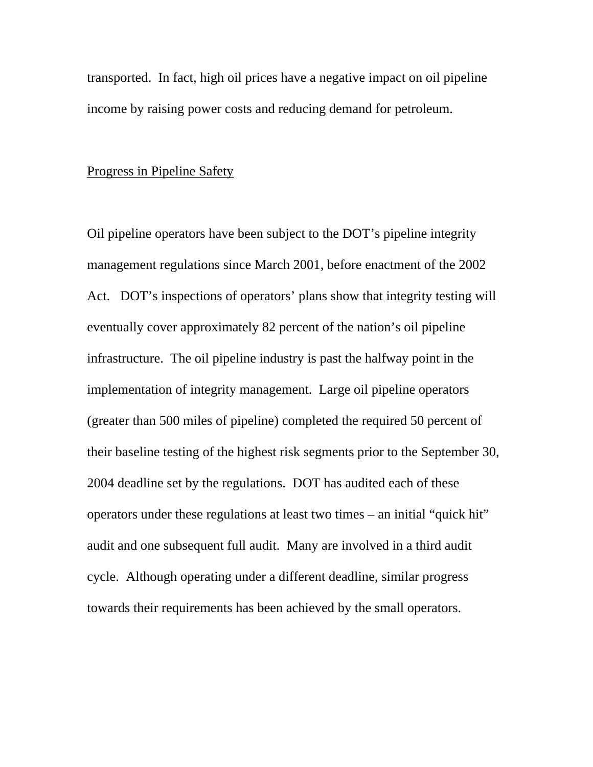transported. In fact, high oil prices have a negative impact on oil pipeline income by raising power costs and reducing demand for petroleum.

## Progress in Pipeline Safety

Oil pipeline operators have been subject to the DOT's pipeline integrity management regulations since March 2001, before enactment of the 2002 Act. DOT's inspections of operators' plans show that integrity testing will eventually cover approximately 82 percent of the nation's oil pipeline infrastructure. The oil pipeline industry is past the halfway point in the implementation of integrity management. Large oil pipeline operators (greater than 500 miles of pipeline) completed the required 50 percent of their baseline testing of the highest risk segments prior to the September 30, 2004 deadline set by the regulations. DOT has audited each of these operators under these regulations at least two times – an initial "quick hit" audit and one subsequent full audit. Many are involved in a third audit cycle. Although operating under a different deadline, similar progress towards their requirements has been achieved by the small operators.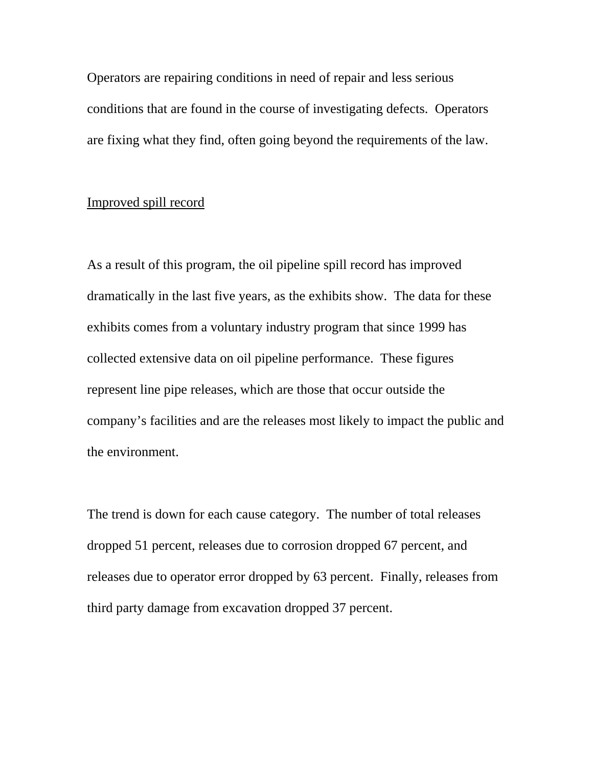Operators are repairing conditions in need of repair and less serious conditions that are found in the course of investigating defects. Operators are fixing what they find, often going beyond the requirements of the law.

# Improved spill record

As a result of this program, the oil pipeline spill record has improved dramatically in the last five years, as the exhibits show. The data for these exhibits comes from a voluntary industry program that since 1999 has collected extensive data on oil pipeline performance. These figures represent line pipe releases, which are those that occur outside the company's facilities and are the releases most likely to impact the public and the environment.

The trend is down for each cause category. The number of total releases dropped 51 percent, releases due to corrosion dropped 67 percent, and releases due to operator error dropped by 63 percent. Finally, releases from third party damage from excavation dropped 37 percent.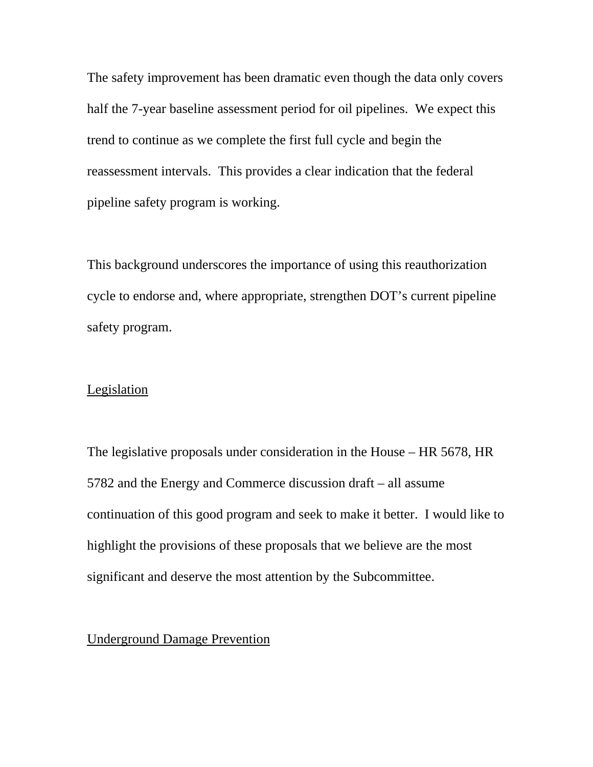The safety improvement has been dramatic even though the data only covers half the 7-year baseline assessment period for oil pipelines. We expect this trend to continue as we complete the first full cycle and begin the reassessment intervals. This provides a clear indication that the federal pipeline safety program is working.

This background underscores the importance of using this reauthorization cycle to endorse and, where appropriate, strengthen DOT's current pipeline safety program.

# Legislation

The legislative proposals under consideration in the House – HR 5678, HR 5782 and the Energy and Commerce discussion draft – all assume continuation of this good program and seek to make it better. I would like to highlight the provisions of these proposals that we believe are the most significant and deserve the most attention by the Subcommittee.

## Underground Damage Prevention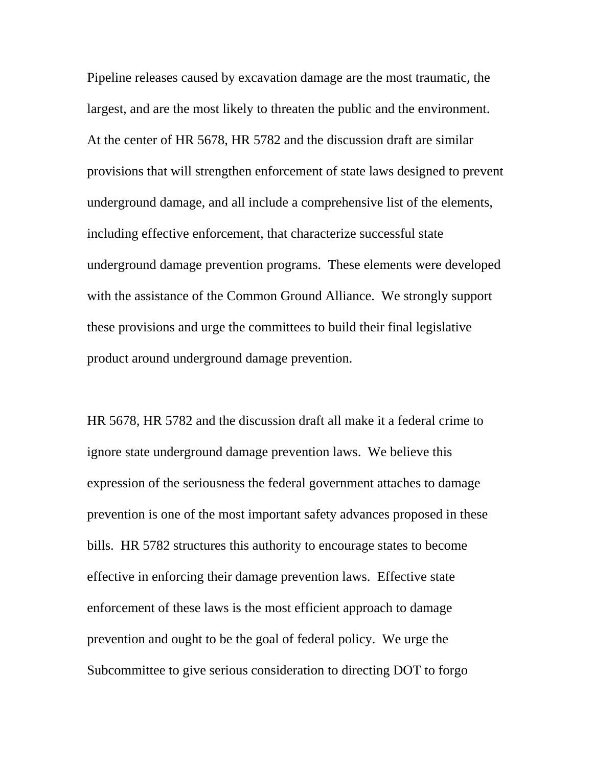Pipeline releases caused by excavation damage are the most traumatic, the largest, and are the most likely to threaten the public and the environment. At the center of HR 5678, HR 5782 and the discussion draft are similar provisions that will strengthen enforcement of state laws designed to prevent underground damage, and all include a comprehensive list of the elements, including effective enforcement, that characterize successful state underground damage prevention programs. These elements were developed with the assistance of the Common Ground Alliance. We strongly support these provisions and urge the committees to build their final legislative product around underground damage prevention.

HR 5678, HR 5782 and the discussion draft all make it a federal crime to ignore state underground damage prevention laws. We believe this expression of the seriousness the federal government attaches to damage prevention is one of the most important safety advances proposed in these bills. HR 5782 structures this authority to encourage states to become effective in enforcing their damage prevention laws. Effective state enforcement of these laws is the most efficient approach to damage prevention and ought to be the goal of federal policy. We urge the Subcommittee to give serious consideration to directing DOT to forgo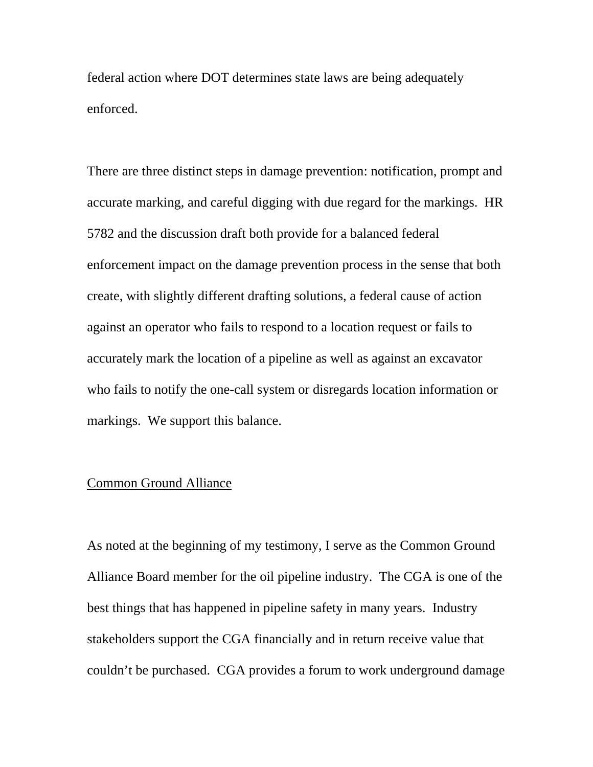federal action where DOT determines state laws are being adequately enforced.

There are three distinct steps in damage prevention: notification, prompt and accurate marking, and careful digging with due regard for the markings. HR 5782 and the discussion draft both provide for a balanced federal enforcement impact on the damage prevention process in the sense that both create, with slightly different drafting solutions, a federal cause of action against an operator who fails to respond to a location request or fails to accurately mark the location of a pipeline as well as against an excavator who fails to notify the one-call system or disregards location information or markings. We support this balance.

## Common Ground Alliance

As noted at the beginning of my testimony, I serve as the Common Ground Alliance Board member for the oil pipeline industry. The CGA is one of the best things that has happened in pipeline safety in many years. Industry stakeholders support the CGA financially and in return receive value that couldn't be purchased. CGA provides a forum to work underground damage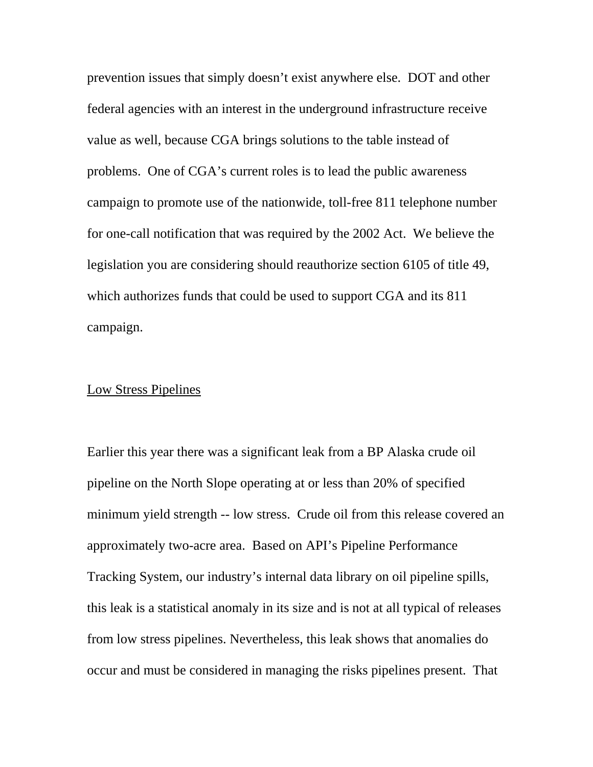prevention issues that simply doesn't exist anywhere else. DOT and other federal agencies with an interest in the underground infrastructure receive value as well, because CGA brings solutions to the table instead of problems. One of CGA's current roles is to lead the public awareness campaign to promote use of the nationwide, toll-free 811 telephone number for one-call notification that was required by the 2002 Act. We believe the legislation you are considering should reauthorize section 6105 of title 49, which authorizes funds that could be used to support CGA and its 811 campaign.

### Low Stress Pipelines

Earlier this year there was a significant leak from a BP Alaska crude oil pipeline on the North Slope operating at or less than 20% of specified minimum yield strength -- low stress. Crude oil from this release covered an approximately two-acre area. Based on API's Pipeline Performance Tracking System, our industry's internal data library on oil pipeline spills, this leak is a statistical anomaly in its size and is not at all typical of releases from low stress pipelines. Nevertheless, this leak shows that anomalies do occur and must be considered in managing the risks pipelines present. That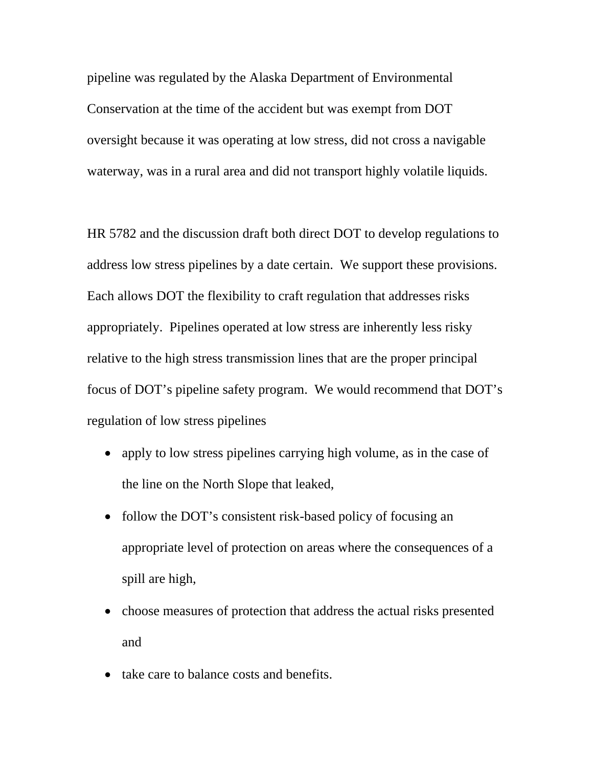pipeline was regulated by the Alaska Department of Environmental Conservation at the time of the accident but was exempt from DOT oversight because it was operating at low stress, did not cross a navigable waterway, was in a rural area and did not transport highly volatile liquids.

HR 5782 and the discussion draft both direct DOT to develop regulations to address low stress pipelines by a date certain. We support these provisions. Each allows DOT the flexibility to craft regulation that addresses risks appropriately. Pipelines operated at low stress are inherently less risky relative to the high stress transmission lines that are the proper principal focus of DOT's pipeline safety program. We would recommend that DOT's regulation of low stress pipelines

- apply to low stress pipelines carrying high volume, as in the case of the line on the North Slope that leaked,
- follow the DOT's consistent risk-based policy of focusing an appropriate level of protection on areas where the consequences of a spill are high,
- choose measures of protection that address the actual risks presented and
- take care to balance costs and benefits.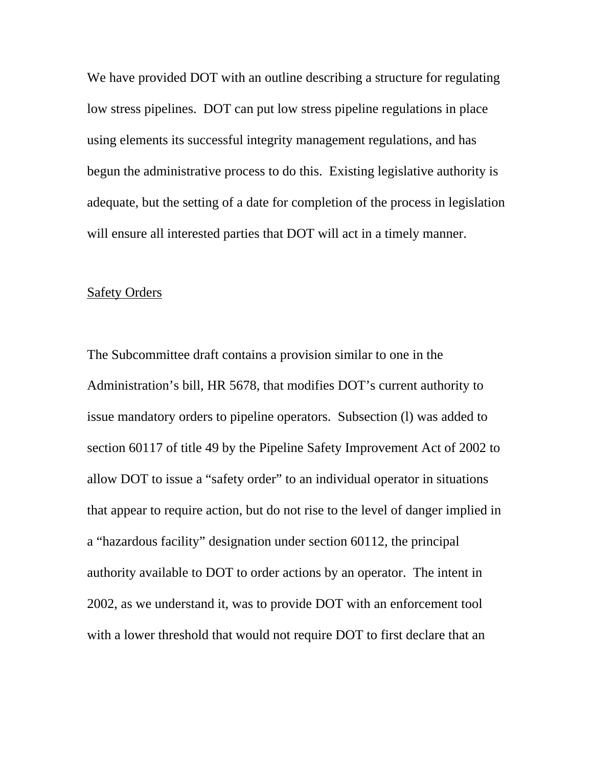We have provided DOT with an outline describing a structure for regulating low stress pipelines. DOT can put low stress pipeline regulations in place using elements its successful integrity management regulations, and has begun the administrative process to do this. Existing legislative authority is adequate, but the setting of a date for completion of the process in legislation will ensure all interested parties that DOT will act in a timely manner.

#### Safety Orders

The Subcommittee draft contains a provision similar to one in the Administration's bill, HR 5678, that modifies DOT's current authority to issue mandatory orders to pipeline operators. Subsection (l) was added to section 60117 of title 49 by the Pipeline Safety Improvement Act of 2002 to allow DOT to issue a "safety order" to an individual operator in situations that appear to require action, but do not rise to the level of danger implied in a "hazardous facility" designation under section 60112, the principal authority available to DOT to order actions by an operator. The intent in 2002, as we understand it, was to provide DOT with an enforcement tool with a lower threshold that would not require DOT to first declare that an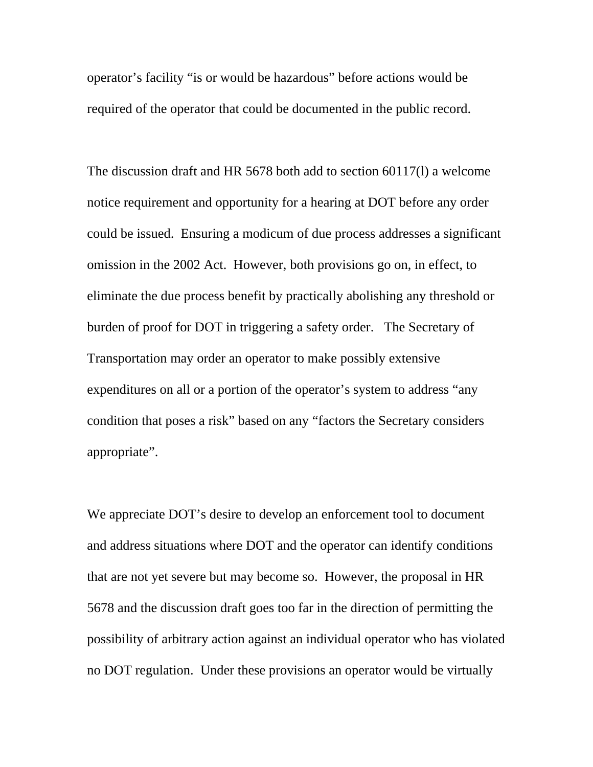operator's facility "is or would be hazardous" before actions would be required of the operator that could be documented in the public record.

The discussion draft and HR 5678 both add to section 60117(l) a welcome notice requirement and opportunity for a hearing at DOT before any order could be issued. Ensuring a modicum of due process addresses a significant omission in the 2002 Act. However, both provisions go on, in effect, to eliminate the due process benefit by practically abolishing any threshold or burden of proof for DOT in triggering a safety order. The Secretary of Transportation may order an operator to make possibly extensive expenditures on all or a portion of the operator's system to address "any condition that poses a risk" based on any "factors the Secretary considers appropriate".

We appreciate DOT's desire to develop an enforcement tool to document and address situations where DOT and the operator can identify conditions that are not yet severe but may become so. However, the proposal in HR 5678 and the discussion draft goes too far in the direction of permitting the possibility of arbitrary action against an individual operator who has violated no DOT regulation. Under these provisions an operator would be virtually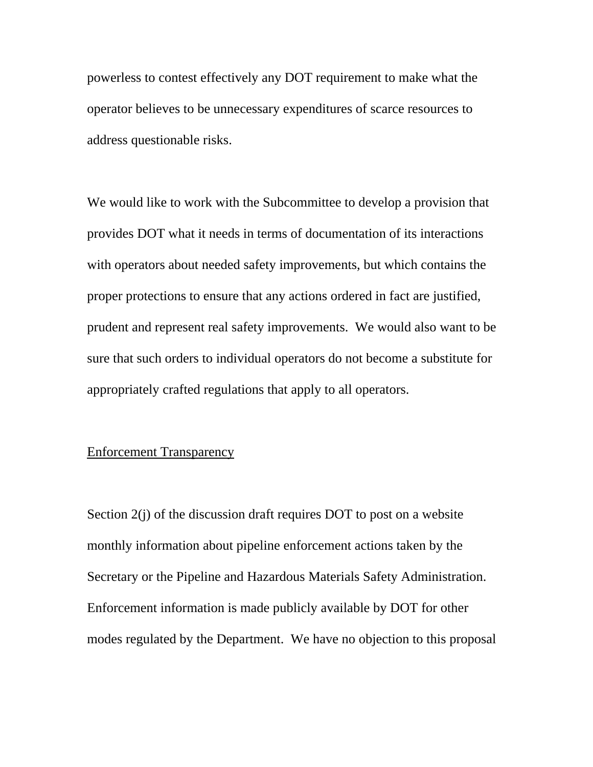powerless to contest effectively any DOT requirement to make what the operator believes to be unnecessary expenditures of scarce resources to address questionable risks.

We would like to work with the Subcommittee to develop a provision that provides DOT what it needs in terms of documentation of its interactions with operators about needed safety improvements, but which contains the proper protections to ensure that any actions ordered in fact are justified, prudent and represent real safety improvements. We would also want to be sure that such orders to individual operators do not become a substitute for appropriately crafted regulations that apply to all operators.

# Enforcement Transparency

Section 2(j) of the discussion draft requires DOT to post on a website monthly information about pipeline enforcement actions taken by the Secretary or the Pipeline and Hazardous Materials Safety Administration. Enforcement information is made publicly available by DOT for other modes regulated by the Department. We have no objection to this proposal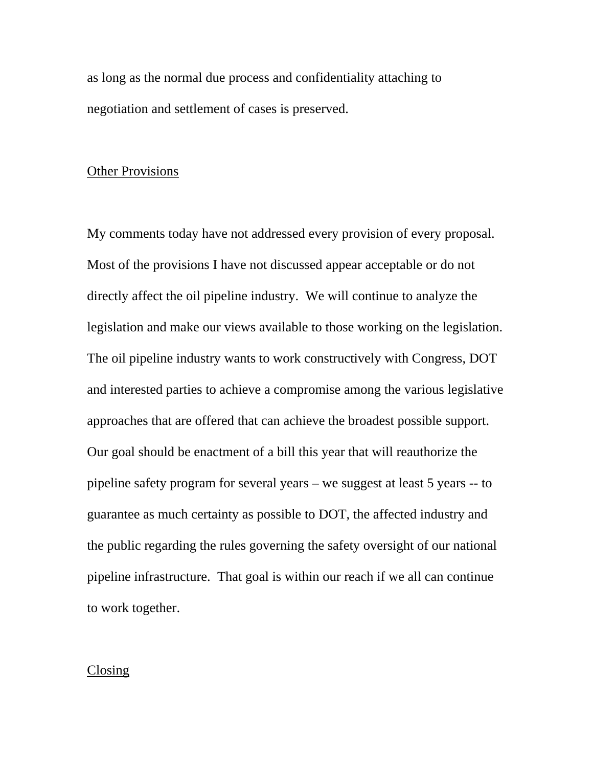as long as the normal due process and confidentiality attaching to negotiation and settlement of cases is preserved.

### Other Provisions

My comments today have not addressed every provision of every proposal. Most of the provisions I have not discussed appear acceptable or do not directly affect the oil pipeline industry. We will continue to analyze the legislation and make our views available to those working on the legislation. The oil pipeline industry wants to work constructively with Congress, DOT and interested parties to achieve a compromise among the various legislative approaches that are offered that can achieve the broadest possible support. Our goal should be enactment of a bill this year that will reauthorize the pipeline safety program for several years – we suggest at least 5 years -- to guarantee as much certainty as possible to DOT, the affected industry and the public regarding the rules governing the safety oversight of our national pipeline infrastructure. That goal is within our reach if we all can continue to work together.

#### Closing